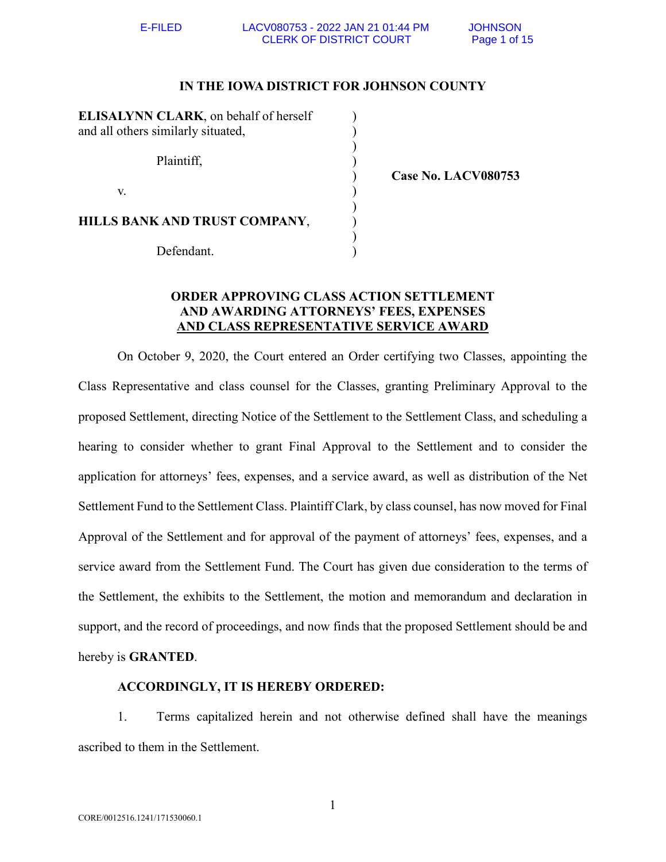## **IN THE IOWA DISTRICT FOR JOHNSON COUNTY**

| ELISALYNN CLARK, on behalf of herself<br>and all others similarly situated, |  |
|-----------------------------------------------------------------------------|--|
| Plaintiff,                                                                  |  |
| V.                                                                          |  |
| HILLS BANK AND TRUST COMPANY,                                               |  |
| Defendant.                                                                  |  |

) **Case No. LACV080753**

# **ORDER APPROVING CLASS ACTION SETTLEMENT AND AWARDING ATTORNEYS' FEES, EXPENSES AND CLASS REPRESENTATIVE SERVICE AWARD**

On October 9, 2020, the Court entered an Order certifying two Classes, appointing the Class Representative and class counsel for the Classes, granting Preliminary Approval to the proposed Settlement, directing Notice of the Settlement to the Settlement Class, and scheduling a hearing to consider whether to grant Final Approval to the Settlement and to consider the application for attorneys' fees, expenses, and a service award, as well as distribution of the Net Settlement Fund to the Settlement Class. Plaintiff Clark, by class counsel, has now moved for Final Approval of the Settlement and for approval of the payment of attorneys' fees, expenses, and a service award from the Settlement Fund. The Court has given due consideration to the terms of the Settlement, the exhibits to the Settlement, the motion and memorandum and declaration in support, and the record of proceedings, and now finds that the proposed Settlement should be and hereby is **GRANTED**.

## **ACCORDINGLY, IT IS HEREBY ORDERED:**

1. Terms capitalized herein and not otherwise defined shall have the meanings ascribed to them in the Settlement.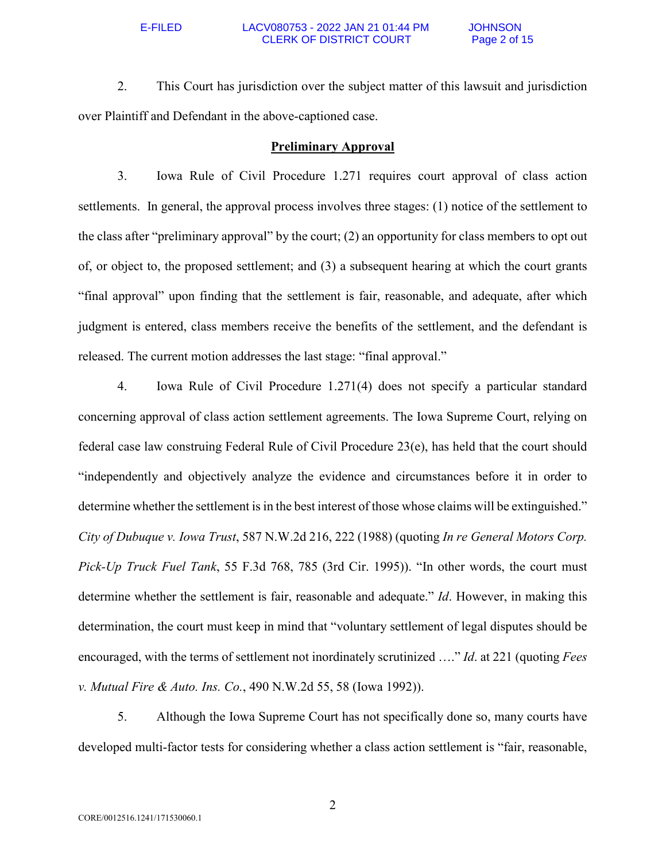## E-FILED LACV080753 - 2022 JAN 21 01:44 PM JOHNSON CLERK OF DISTRICT COURT Page 2 of 15

2. This Court has jurisdiction over the subject matter of this lawsuit and jurisdiction over Plaintiff and Defendant in the above-captioned case.

## **Preliminary Approval**

3. Iowa Rule of Civil Procedure 1.271 requires court approval of class action settlements. In general, the approval process involves three stages: (1) notice of the settlement to the class after "preliminary approval" by the court; (2) an opportunity for class members to opt out of, or object to, the proposed settlement; and (3) a subsequent hearing at which the court grants "final approval" upon finding that the settlement is fair, reasonable, and adequate, after which judgment is entered, class members receive the benefits of the settlement, and the defendant is released. The current motion addresses the last stage: "final approval."

4. Iowa Rule of Civil Procedure 1.271(4) does not specify a particular standard concerning approval of class action settlement agreements. The Iowa Supreme Court, relying on federal case law construing Federal Rule of Civil Procedure 23(e), has held that the court should "independently and objectively analyze the evidence and circumstances before it in order to determine whether the settlement is in the best interest of those whose claims will be extinguished." *City of Dubuque v. Iowa Trust*, 587 N.W.2d 216, 222 (1988) (quoting *In re General Motors Corp. Pick-Up Truck Fuel Tank*, 55 F.3d 768, 785 (3rd Cir. 1995)). "In other words, the court must determine whether the settlement is fair, reasonable and adequate." *Id*. However, in making this determination, the court must keep in mind that "voluntary settlement of legal disputes should be encouraged, with the terms of settlement not inordinately scrutinized …." *Id*. at 221 (quoting *Fees v. Mutual Fire & Auto. Ins. Co.*, 490 N.W.2d 55, 58 (Iowa 1992)).

5. Although the Iowa Supreme Court has not specifically done so, many courts have developed multi-factor tests for considering whether a class action settlement is "fair, reasonable,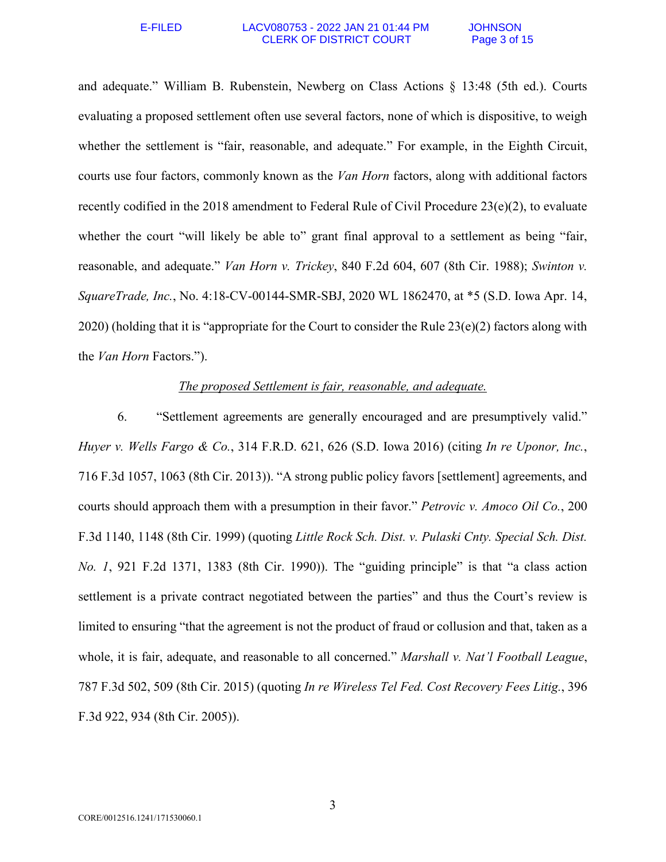### E-FILED LACV080753 - 2022 JAN 21 01:44 PM JOHNSON CLERK OF DISTRICT COURT Page 3 of 15

and adequate." William B. Rubenstein, Newberg on Class Actions § 13:48 (5th ed.). Courts evaluating a proposed settlement often use several factors, none of which is dispositive, to weigh whether the settlement is "fair, reasonable, and adequate." For example, in the Eighth Circuit, courts use four factors, commonly known as the *Van Horn* factors, along with additional factors recently codified in the 2018 amendment to Federal Rule of Civil Procedure 23(e)(2), to evaluate whether the court "will likely be able to" grant final approval to a settlement as being "fair, reasonable, and adequate." *Van Horn v. Trickey*, 840 F.2d 604, 607 (8th Cir. 1988); *Swinton v. SquareTrade, Inc.*, No. 4:18-CV-00144-SMR-SBJ, 2020 WL 1862470, at \*5 (S.D. Iowa Apr. 14, 2020) (holding that it is "appropriate for the Court to consider the Rule  $23(e)(2)$  factors along with the *Van Horn* Factors.").

# *The proposed Settlement is fair, reasonable, and adequate.*

6. "Settlement agreements are generally encouraged and are presumptively valid." *Huyer v. Wells Fargo & Co.*, 314 F.R.D. 621, 626 (S.D. Iowa 2016) (citing *In re Uponor, Inc.*, 716 F.3d 1057, 1063 (8th Cir. 2013)). "A strong public policy favors [settlement] agreements, and courts should approach them with a presumption in their favor." *Petrovic v. Amoco Oil Co.*, 200 F.3d 1140, 1148 (8th Cir. 1999) (quoting *Little Rock Sch. Dist. v. Pulaski Cnty. Special Sch. Dist. No. 1*, 921 F.2d 1371, 1383 (8th Cir. 1990)). The "guiding principle" is that "a class action settlement is a private contract negotiated between the parties" and thus the Court's review is limited to ensuring "that the agreement is not the product of fraud or collusion and that, taken as a whole, it is fair, adequate, and reasonable to all concerned." *Marshall v. Nat'l Football League*, 787 F.3d 502, 509 (8th Cir. 2015) (quoting *In re Wireless Tel Fed. Cost Recovery Fees Litig.*, 396 F.3d 922, 934 (8th Cir. 2005)).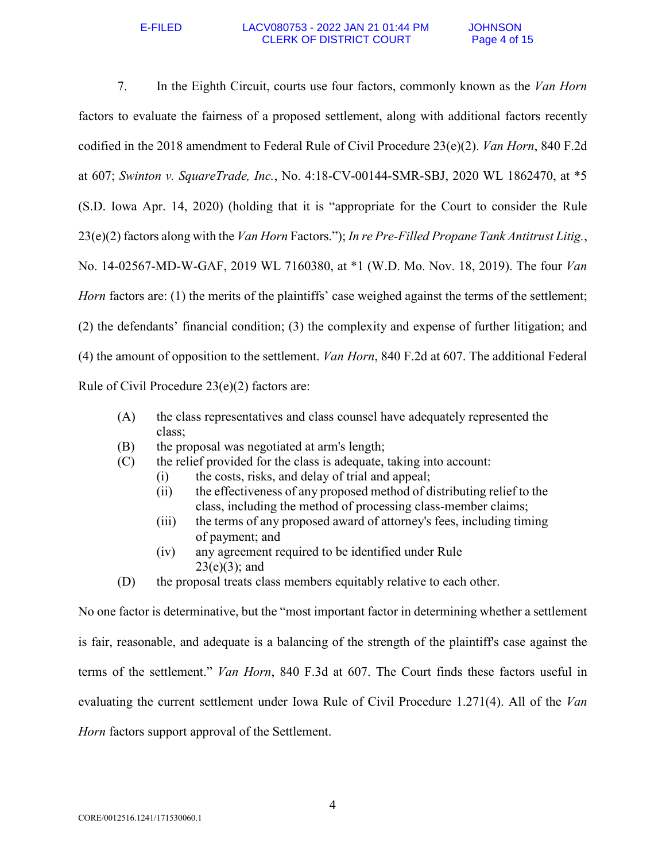7. In the Eighth Circuit, courts use four factors, commonly known as the *Van Horn* factors to evaluate the fairness of a proposed settlement, along with additional factors recently codified in the 2018 amendment to Federal Rule of Civil Procedure 23(e)(2). *Van Horn*, 840 F.2d at 607; *Swinton v. SquareTrade, Inc.*, No. 4:18-CV-00144-SMR-SBJ, 2020 WL 1862470, at \*5 (S.D. Iowa Apr. 14, 2020) (holding that it is "appropriate for the Court to consider the Rule 23(e)(2) factors along with the *Van Horn* Factors."); *In re Pre-Filled Propane Tank Antitrust Litig.*, No. 14-02567-MD-W-GAF, 2019 WL 7160380, at \*1 (W.D. Mo. Nov. 18, 2019). The four *Van Horn* factors are: (1) the merits of the plaintiffs' case weighed against the terms of the settlement; (2) the defendants' financial condition; (3) the complexity and expense of further litigation; and (4) the amount of opposition to the settlement. *Van Horn*, 840 F.2d at 607. The additional Federal Rule of Civil Procedure 23(e)(2) factors are:

- (A) the class representatives and class counsel have adequately represented the class;
- (B) the proposal was negotiated at arm's length;
- (C) the relief provided for the class is adequate, taking into account:
	- (i) the costs, risks, and delay of trial and appeal;
	- (ii) the effectiveness of any proposed method of distributing relief to the class, including the method of processing class-member claims;
	- (iii) the terms of any proposed award of attorney's fees, including timing of payment; and
	- (iv) any agreement required to be identified under Rule  $23(e)(3)$ ; and
- (D) the proposal treats class members equitably relative to each other.

No one factor is determinative, but the "most important factor in determining whether a settlement is fair, reasonable, and adequate is a balancing of the strength of the plaintiff's case against the terms of the settlement." *Van Horn*, 840 F.3d at 607. The Court finds these factors useful in evaluating the current settlement under Iowa Rule of Civil Procedure 1.271(4). All of the *Van Horn* factors support approval of the Settlement.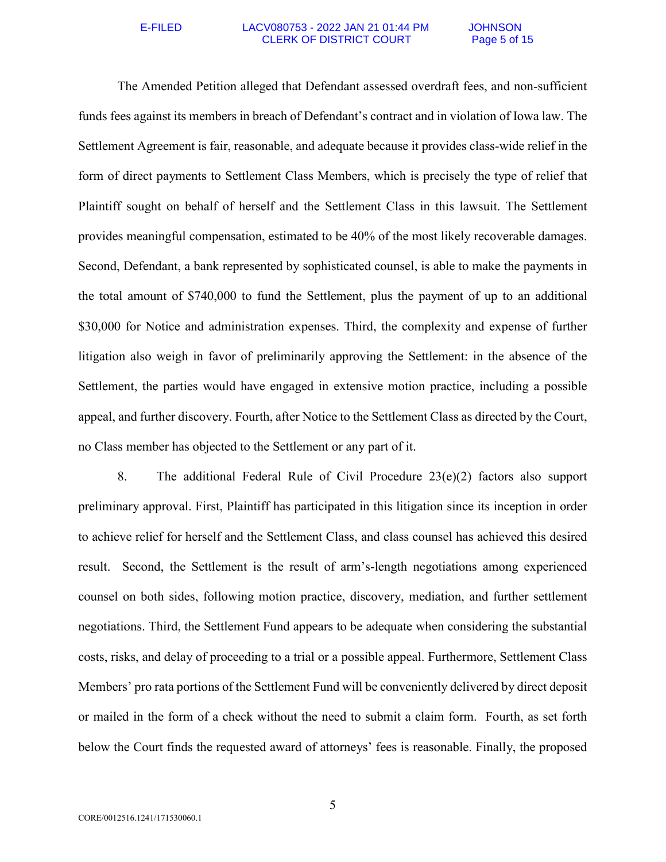### E-FILED LACV080753 - 2022 JAN 21 01:44 PM JOHNSON CLERK OF DISTRICT COURT Page 5 of 15

The Amended Petition alleged that Defendant assessed overdraft fees, and non-sufficient funds fees against its members in breach of Defendant's contract and in violation of Iowa law. The Settlement Agreement is fair, reasonable, and adequate because it provides class-wide relief in the form of direct payments to Settlement Class Members, which is precisely the type of relief that Plaintiff sought on behalf of herself and the Settlement Class in this lawsuit. The Settlement provides meaningful compensation, estimated to be 40% of the most likely recoverable damages. Second, Defendant, a bank represented by sophisticated counsel, is able to make the payments in the total amount of \$740,000 to fund the Settlement, plus the payment of up to an additional \$30,000 for Notice and administration expenses. Third, the complexity and expense of further litigation also weigh in favor of preliminarily approving the Settlement: in the absence of the Settlement, the parties would have engaged in extensive motion practice, including a possible appeal, and further discovery. Fourth, after Notice to the Settlement Class as directed by the Court, no Class member has objected to the Settlement or any part of it.

8. The additional Federal Rule of Civil Procedure 23(e)(2) factors also support preliminary approval. First, Plaintiff has participated in this litigation since its inception in order to achieve relief for herself and the Settlement Class, and class counsel has achieved this desired result. Second, the Settlement is the result of arm's-length negotiations among experienced counsel on both sides, following motion practice, discovery, mediation, and further settlement negotiations. Third, the Settlement Fund appears to be adequate when considering the substantial costs, risks, and delay of proceeding to a trial or a possible appeal. Furthermore, Settlement Class Members' pro rata portions of the Settlement Fund will be conveniently delivered by direct deposit or mailed in the form of a check without the need to submit a claim form. Fourth, as set forth below the Court finds the requested award of attorneys' fees is reasonable. Finally, the proposed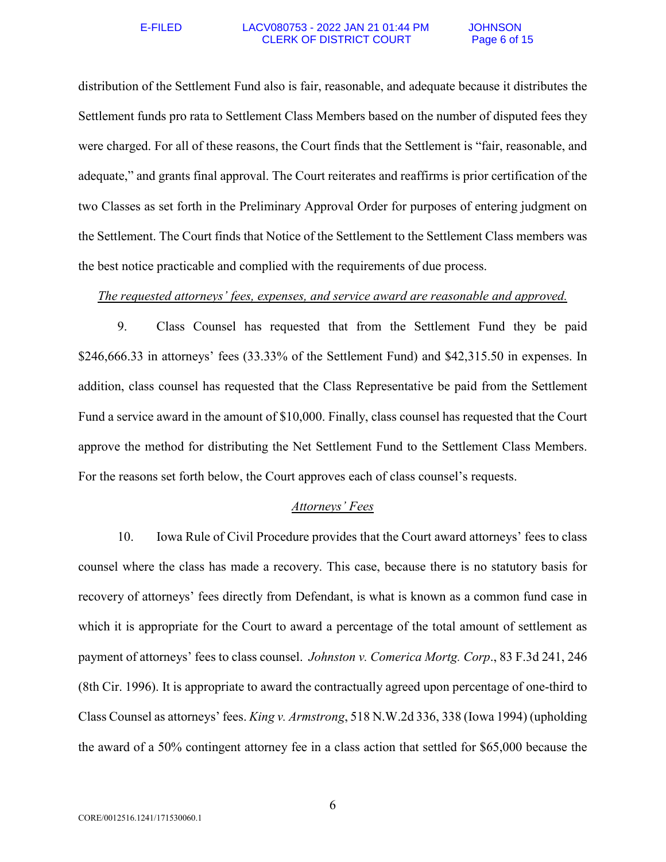### E-FILED LACV080753 - 2022 JAN 21 01:44 PM JOHNSON CLERK OF DISTRICT COURT Page 6 of 15

distribution of the Settlement Fund also is fair, reasonable, and adequate because it distributes the Settlement funds pro rata to Settlement Class Members based on the number of disputed fees they were charged. For all of these reasons, the Court finds that the Settlement is "fair, reasonable, and adequate," and grants final approval. The Court reiterates and reaffirms is prior certification of the two Classes as set forth in the Preliminary Approval Order for purposes of entering judgment on the Settlement. The Court finds that Notice of the Settlement to the Settlement Class members was the best notice practicable and complied with the requirements of due process.

## *The requested attorneys' fees, expenses, and service award are reasonable and approved.*

9. Class Counsel has requested that from the Settlement Fund they be paid \$246,666.33 in attorneys' fees (33.33% of the Settlement Fund) and \$42,315.50 in expenses. In addition, class counsel has requested that the Class Representative be paid from the Settlement Fund a service award in the amount of \$10,000. Finally, class counsel has requested that the Court approve the method for distributing the Net Settlement Fund to the Settlement Class Members. For the reasons set forth below, the Court approves each of class counsel's requests.

## *Attorneys' Fees*

10. Iowa Rule of Civil Procedure provides that the Court award attorneys' fees to class counsel where the class has made a recovery. This case, because there is no statutory basis for recovery of attorneys' fees directly from Defendant, is what is known as a common fund case in which it is appropriate for the Court to award a percentage of the total amount of settlement as payment of attorneys' fees to class counsel. *Johnston v. Comerica Mortg. Corp*., 83 F.3d 241, 246 (8th Cir. 1996). It is appropriate to award the contractually agreed upon percentage of one-third to Class Counsel as attorneys' fees. *King v. Armstrong*, 518 N.W.2d 336, 338 (Iowa 1994) (upholding the award of a 50% contingent attorney fee in a class action that settled for \$65,000 because the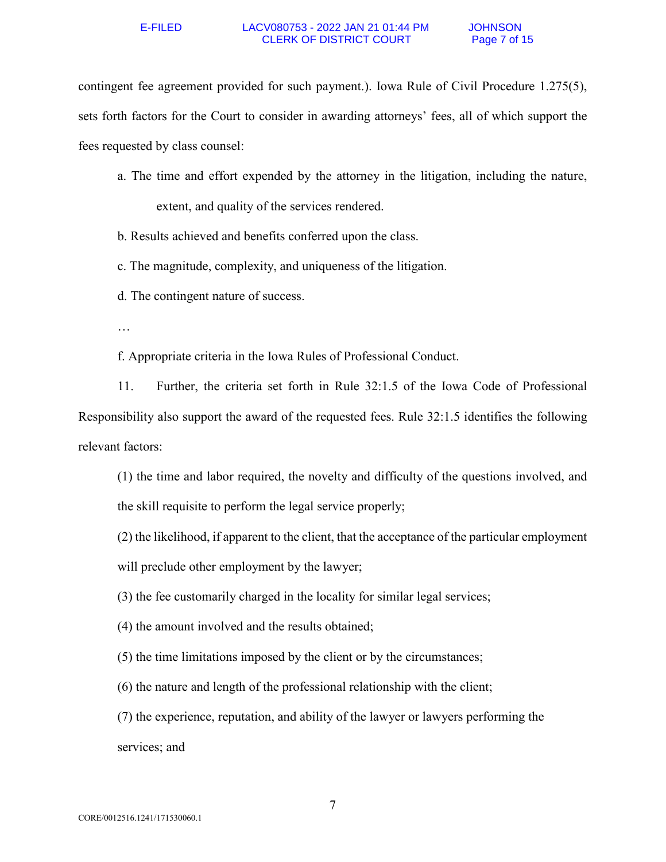### E-FILED LACV080753 - 2022 JAN 21 01:44 PM JOHNSON CLERK OF DISTRICT COURT Page 7 of 15

contingent fee agreement provided for such payment.). Iowa Rule of Civil Procedure 1.275(5), sets forth factors for the Court to consider in awarding attorneys' fees, all of which support the fees requested by class counsel:

a. The time and effort expended by the attorney in the litigation, including the nature, extent, and quality of the services rendered.

b. Results achieved and benefits conferred upon the class.

c. The magnitude, complexity, and uniqueness of the litigation.

d. The contingent nature of success.

…

f. Appropriate criteria in the Iowa Rules of Professional Conduct.

11. Further, the criteria set forth in Rule 32:1.5 of the Iowa Code of Professional Responsibility also support the award of the requested fees. Rule 32:1.5 identifies the following relevant factors:

(1) the time and labor required, the novelty and difficulty of the questions involved, and the skill requisite to perform the legal service properly;

(2) the likelihood, if apparent to the client, that the acceptance of the particular employment will preclude other employment by the lawyer;

(3) the fee customarily charged in the locality for similar legal services;

(4) the amount involved and the results obtained;

(5) the time limitations imposed by the client or by the circumstances;

(6) the nature and length of the professional relationship with the client;

(7) the experience, reputation, and ability of the lawyer or lawyers performing the services; and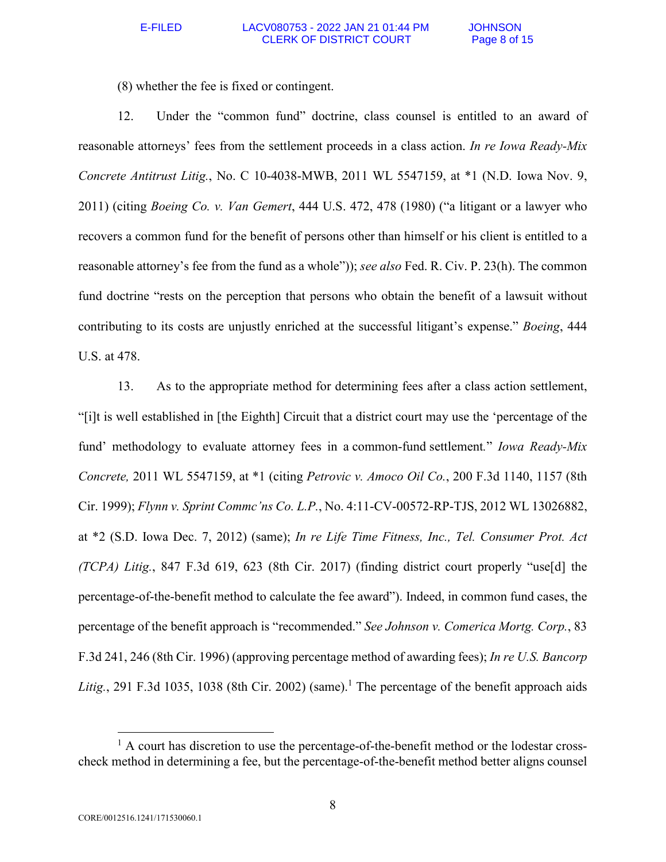(8) whether the fee is fixed or contingent.

12. Under the "common fund" doctrine, class counsel is entitled to an award of reasonable attorneys' fees from the settlement proceeds in a class action. *In re Iowa Ready-Mix Concrete Antitrust Litig.*, No. C 10-4038-MWB, 2011 WL 5547159, at \*1 (N.D. Iowa Nov. 9, 2011) (citing *Boeing Co. v. Van Gemert*, 444 U.S. 472, 478 (1980) ("a litigant or a lawyer who recovers a common fund for the benefit of persons other than himself or his client is entitled to a reasonable attorney's fee from the fund as a whole")); *see also* Fed. R. Civ. P. 23(h). The common fund doctrine "rests on the perception that persons who obtain the benefit of a lawsuit without contributing to its costs are unjustly enriched at the successful litigant's expense." *Boeing*, 444 U.S. at 478.

13. As to the appropriate method for determining fees after a class action settlement, "[i]t is well established in [the Eighth] Circuit that a district court may use the 'percentage of the fund' methodology to evaluate attorney fees in a common-fund settlement*.*" *Iowa Ready-Mix Concrete,* 2011 WL 5547159, at \*1 (citing *Petrovic v. Amoco Oil Co.*, 200 F.3d 1140, 1157 (8th Cir. 1999); *Flynn v. Sprint Commc'ns Co. L.P.*, No. 4:11-CV-00572-RP-TJS, 2012 WL 13026882, at \*2 (S.D. Iowa Dec. 7, 2012) (same); *In re Life Time Fitness, Inc., Tel. Consumer Prot. Act (TCPA) Litig.*, 847 F.3d 619, 623 (8th Cir. 2017) (finding district court properly "use[d] the percentage-of-the-benefit method to calculate the fee award"). Indeed, in common fund cases, the percentage of the benefit approach is "recommended." *See Johnson v. Comerica Mortg. Corp.*, 83 F.3d 241, 246 (8th Cir. 1996) (approving percentage method of awarding fees); *In re U.S. Bancorp*  Litig., 291 F.3d 1035, 1038 (8th Cir. 2002) (same).<sup>1</sup> The percentage of the benefit approach aids

 $\overline{a}$ 

<sup>&</sup>lt;sup>1</sup> A court has discretion to use the percentage-of-the-benefit method or the lodestar crosscheck method in determining a fee, but the percentage-of-the-benefit method better aligns counsel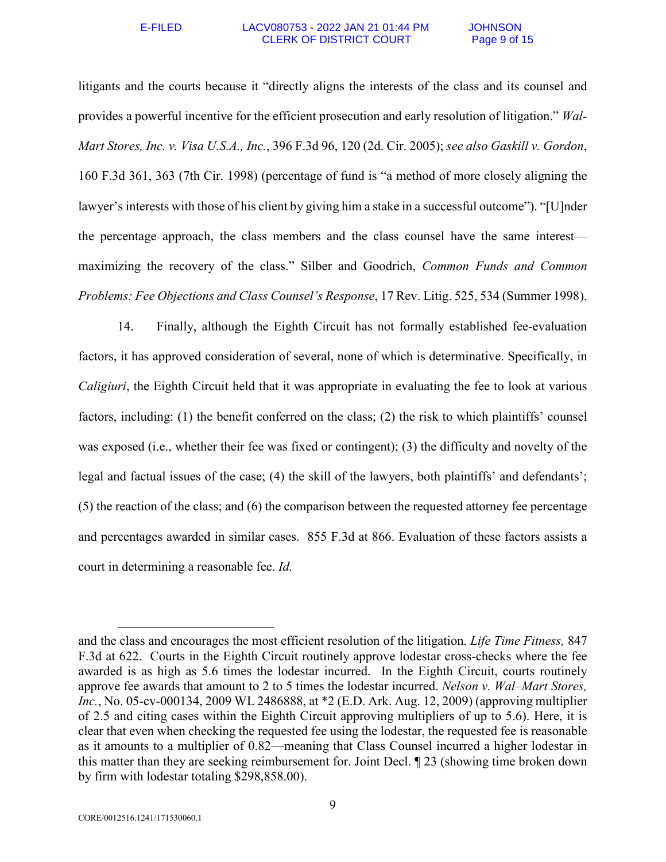### E-FILED LACV080753 - 2022 JAN 21 01:44 PM JOHNSON CLERK OF DISTRICT COURT Page 9 of 15

litigants and the courts because it "directly aligns the interests of the class and its counsel and provides a powerful incentive for the efficient prosecution and early resolution of litigation." *Wal-Mart Stores, Inc. v. Visa U.S.A., Inc.*, 396 F.3d 96, 120 (2d. Cir. 2005); *see also Gaskill v. Gordon*, 160 F.3d 361, 363 (7th Cir. 1998) (percentage of fund is "a method of more closely aligning the lawyer's interests with those of his client by giving him a stake in a successful outcome"). "[U]nder the percentage approach, the class members and the class counsel have the same interest maximizing the recovery of the class." Silber and Goodrich, *Common Funds and Common Problems: Fee Objections and Class Counsel's Response*, 17 Rev. Litig. 525, 534 (Summer 1998).

14. Finally, although the Eighth Circuit has not formally established fee-evaluation factors, it has approved consideration of several, none of which is determinative. Specifically, in *Caligiuri*, the Eighth Circuit held that it was appropriate in evaluating the fee to look at various factors, including: (1) the benefit conferred on the class; (2) the risk to which plaintiffs' counsel was exposed (i.e., whether their fee was fixed or contingent); (3) the difficulty and novelty of the legal and factual issues of the case; (4) the skill of the lawyers, both plaintiffs' and defendants'; (5) the reaction of the class; and (6) the comparison between the requested attorney fee percentage and percentages awarded in similar cases. 855 F.3d at 866. Evaluation of these factors assists a court in determining a reasonable fee. *Id.* 

 $\overline{a}$ 

and the class and encourages the most efficient resolution of the litigation. *Life Time Fitness,* 847 F.3d at 622.Courts in the Eighth Circuit routinely approve lodestar cross-checks where the fee awarded is as high as 5.6 times the lodestar incurred. In the Eighth Circuit, courts routinely approve fee awards that amount to 2 to 5 times the lodestar incurred. *Nelson v. Wal–Mart Stores, Inc.*, No. 05-cv-000134, 2009 WL 2486888, at \*2 (E.D. Ark. Aug. 12, 2009) (approving multiplier of 2.5 and citing cases within the Eighth Circuit approving multipliers of up to 5.6). Here, it is clear that even when checking the requested fee using the lodestar, the requested fee is reasonable as it amounts to a multiplier of 0.82—meaning that Class Counsel incurred a higher lodestar in this matter than they are seeking reimbursement for. Joint Decl. ¶ 23 (showing time broken down by firm with lodestar totaling \$298,858.00).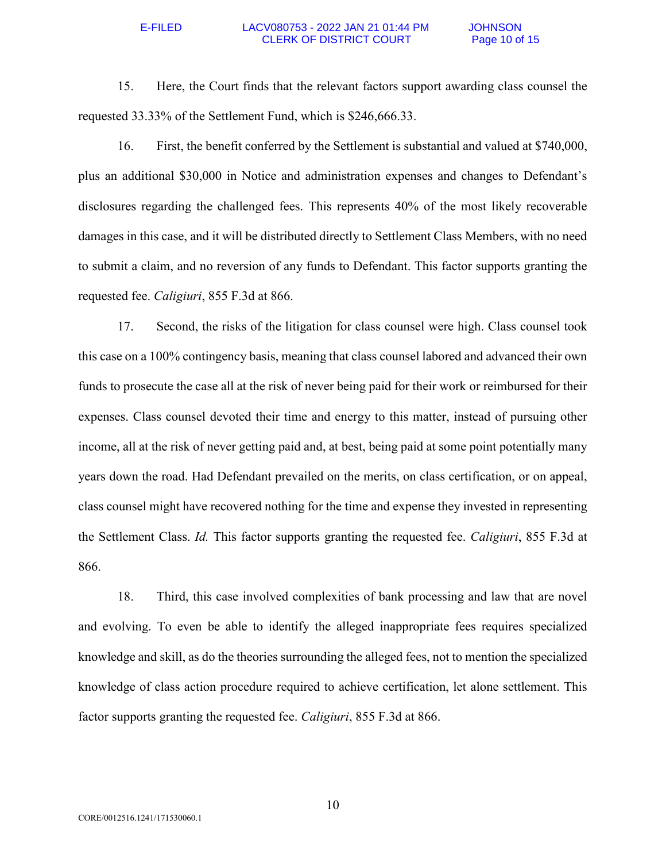## E-FILED LACV080753 - 2022 JAN 21 01:44 PM JOHNSON CLERK OF DISTRICT COURT Page 10 of 15

15. Here, the Court finds that the relevant factors support awarding class counsel the requested 33.33% of the Settlement Fund, which is \$246,666.33.

16. First, the benefit conferred by the Settlement is substantial and valued at \$740,000, plus an additional \$30,000 in Notice and administration expenses and changes to Defendant's disclosures regarding the challenged fees. This represents 40% of the most likely recoverable damages in this case, and it will be distributed directly to Settlement Class Members, with no need to submit a claim, and no reversion of any funds to Defendant. This factor supports granting the requested fee. *Caligiuri*, 855 F.3d at 866.

17. Second, the risks of the litigation for class counsel were high. Class counsel took this case on a 100% contingency basis, meaning that class counsel labored and advanced their own funds to prosecute the case all at the risk of never being paid for their work or reimbursed for their expenses. Class counsel devoted their time and energy to this matter, instead of pursuing other income, all at the risk of never getting paid and, at best, being paid at some point potentially many years down the road. Had Defendant prevailed on the merits, on class certification, or on appeal, class counsel might have recovered nothing for the time and expense they invested in representing the Settlement Class. *Id.* This factor supports granting the requested fee. *Caligiuri*, 855 F.3d at 866.

18. Third, this case involved complexities of bank processing and law that are novel and evolving. To even be able to identify the alleged inappropriate fees requires specialized knowledge and skill, as do the theories surrounding the alleged fees, not to mention the specialized knowledge of class action procedure required to achieve certification, let alone settlement. This factor supports granting the requested fee. *Caligiuri*, 855 F.3d at 866.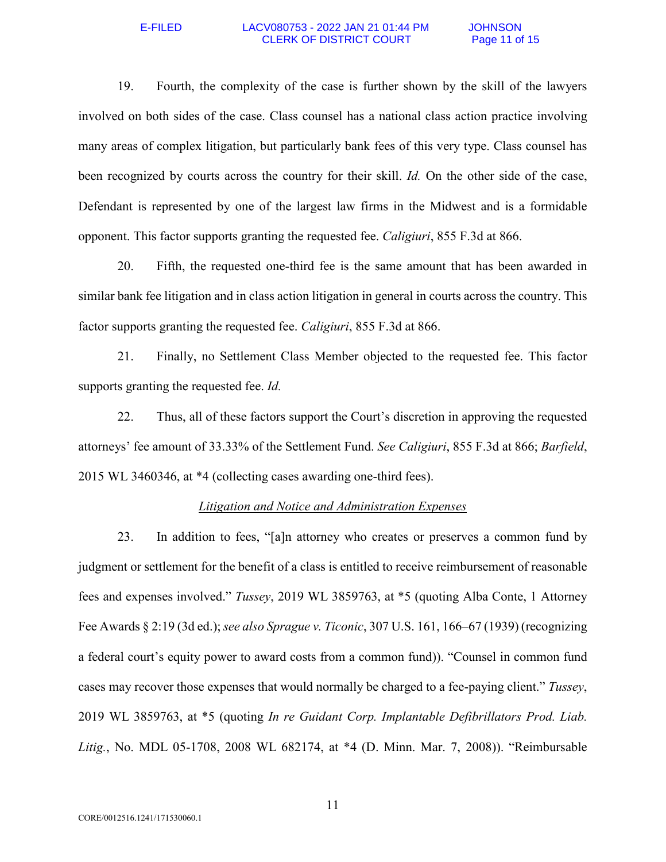## E-FILED LACV080753 - 2022 JAN 21 01:44 PM JOHNSON CLERK OF DISTRICT COURT Page 11 of 15

19. Fourth, the complexity of the case is further shown by the skill of the lawyers involved on both sides of the case. Class counsel has a national class action practice involving many areas of complex litigation, but particularly bank fees of this very type. Class counsel has been recognized by courts across the country for their skill. *Id.* On the other side of the case, Defendant is represented by one of the largest law firms in the Midwest and is a formidable opponent. This factor supports granting the requested fee. *Caligiuri*, 855 F.3d at 866.

20. Fifth, the requested one-third fee is the same amount that has been awarded in similar bank fee litigation and in class action litigation in general in courts across the country. This factor supports granting the requested fee. *Caligiuri*, 855 F.3d at 866.

21. Finally, no Settlement Class Member objected to the requested fee. This factor supports granting the requested fee. *Id.* 

22. Thus, all of these factors support the Court's discretion in approving the requested attorneys' fee amount of 33.33% of the Settlement Fund. *See Caligiuri*, 855 F.3d at 866; *Barfield*, 2015 WL 3460346, at \*4 (collecting cases awarding one-third fees).

## *Litigation and Notice and Administration Expenses*

23. In addition to fees, "[a]n attorney who creates or preserves a common fund by judgment or settlement for the benefit of a class is entitled to receive reimbursement of reasonable fees and expenses involved." *Tussey*, 2019 WL 3859763, at \*5 (quoting Alba Conte, 1 Attorney Fee Awards § 2:19 (3d ed.); *see also Sprague v. Ticonic*, 307 U.S. 161, 166–67 (1939) (recognizing a federal court's equity power to award costs from a common fund)). "Counsel in common fund cases may recover those expenses that would normally be charged to a fee-paying client." *Tussey*, 2019 WL 3859763, at \*5 (quoting *In re Guidant Corp. Implantable Defibrillators Prod. Liab. Litig.*, No. MDL 05-1708, 2008 WL 682174, at \*4 (D. Minn. Mar. 7, 2008)). "Reimbursable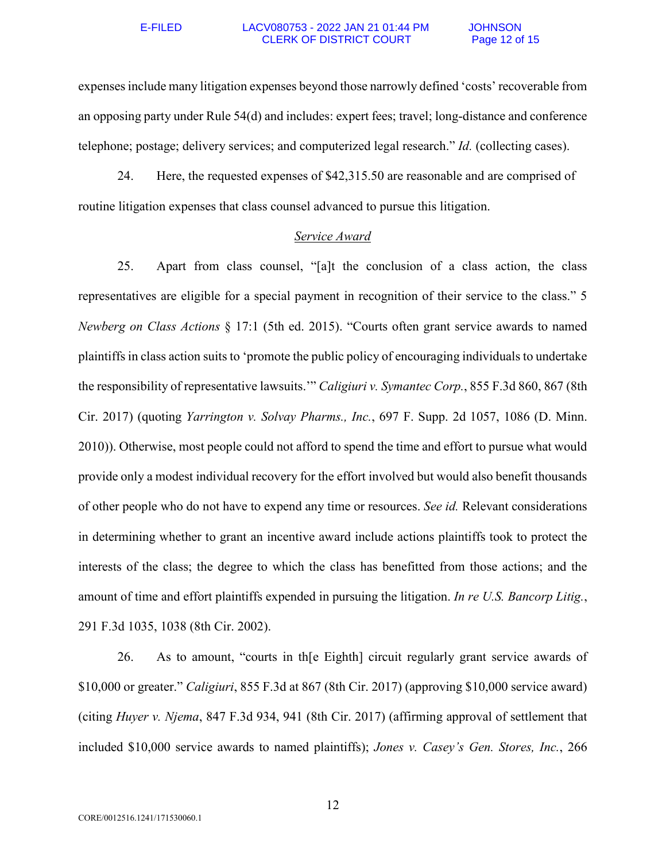## E-FILED LACV080753 - 2022 JAN 21 01:44 PM JOHNSON CLERK OF DISTRICT COURT Page 12 of 15

expenses include many litigation expenses beyond those narrowly defined 'costs' recoverable from an opposing party under Rule 54(d) and includes: expert fees; travel; long-distance and conference telephone; postage; delivery services; and computerized legal research." *Id.* (collecting cases).

24. Here, the requested expenses of \$42,315.50 are reasonable and are comprised of routine litigation expenses that class counsel advanced to pursue this litigation.

## *Service Award*

25. Apart from class counsel, "[a]t the conclusion of a class action, the class representatives are eligible for a special payment in recognition of their service to the class." 5 *Newberg on Class Actions* § 17:1 (5th ed. 2015). "Courts often grant service awards to named plaintiffs in class action suits to 'promote the public policy of encouraging individuals to undertake the responsibility of representative lawsuits.'" *Caligiuri v. Symantec Corp.*, 855 F.3d 860, 867 (8th Cir. 2017) (quoting *Yarrington v. Solvay Pharms., Inc.*, 697 F. Supp. 2d 1057, 1086 (D. Minn. 2010)). Otherwise, most people could not afford to spend the time and effort to pursue what would provide only a modest individual recovery for the effort involved but would also benefit thousands of other people who do not have to expend any time or resources. *See id.* Relevant considerations in determining whether to grant an incentive award include actions plaintiffs took to protect the interests of the class; the degree to which the class has benefitted from those actions; and the amount of time and effort plaintiffs expended in pursuing the litigation. *In re U.S. Bancorp Litig.*, 291 F.3d 1035, 1038 (8th Cir. 2002).

26. As to amount, "courts in th[e Eighth] circuit regularly grant service awards of \$10,000 or greater." *Caligiuri*, 855 F.3d at 867 (8th Cir. 2017) (approving \$10,000 service award) (citing *Huyer v. Njema*, 847 F.3d 934, 941 (8th Cir. 2017) (affirming approval of settlement that included \$10,000 service awards to named plaintiffs); *Jones v. Casey's Gen. Stores, Inc.*, 266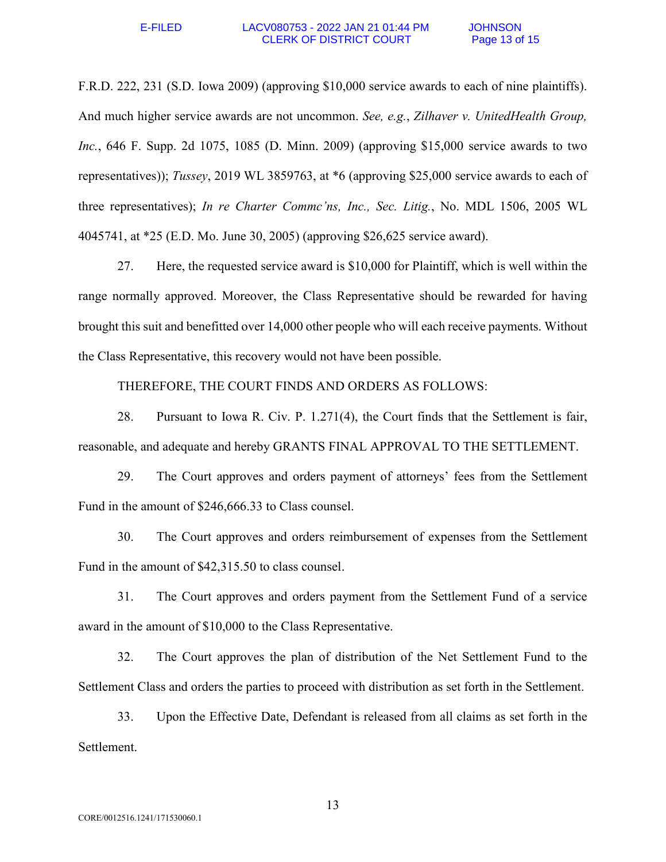F.R.D. 222, 231 (S.D. Iowa 2009) (approving \$10,000 service awards to each of nine plaintiffs). And much higher service awards are not uncommon. *See, e.g.*, *Zilhaver v. UnitedHealth Group, Inc.*, 646 F. Supp. 2d 1075, 1085 (D. Minn. 2009) (approving \$15,000 service awards to two representatives)); *Tussey*, 2019 WL 3859763, at \*6 (approving \$25,000 service awards to each of three representatives); *In re Charter Commc'ns, Inc., Sec. Litig.*, No. MDL 1506, 2005 WL 4045741, at \*25 (E.D. Mo. June 30, 2005) (approving \$26,625 service award).

27. Here, the requested service award is \$10,000 for Plaintiff, which is well within the range normally approved. Moreover, the Class Representative should be rewarded for having brought this suit and benefitted over 14,000 other people who will each receive payments. Without the Class Representative, this recovery would not have been possible.

THEREFORE, THE COURT FINDS AND ORDERS AS FOLLOWS:

28. Pursuant to Iowa R. Civ. P. 1.271(4), the Court finds that the Settlement is fair, reasonable, and adequate and hereby GRANTS FINAL APPROVAL TO THE SETTLEMENT.

29. The Court approves and orders payment of attorneys' fees from the Settlement Fund in the amount of \$246,666.33 to Class counsel.

30. The Court approves and orders reimbursement of expenses from the Settlement Fund in the amount of \$42,315.50 to class counsel.

31. The Court approves and orders payment from the Settlement Fund of a service award in the amount of \$10,000 to the Class Representative.

32. The Court approves the plan of distribution of the Net Settlement Fund to the Settlement Class and orders the parties to proceed with distribution as set forth in the Settlement.

33. Upon the Effective Date, Defendant is released from all claims as set forth in the Settlement.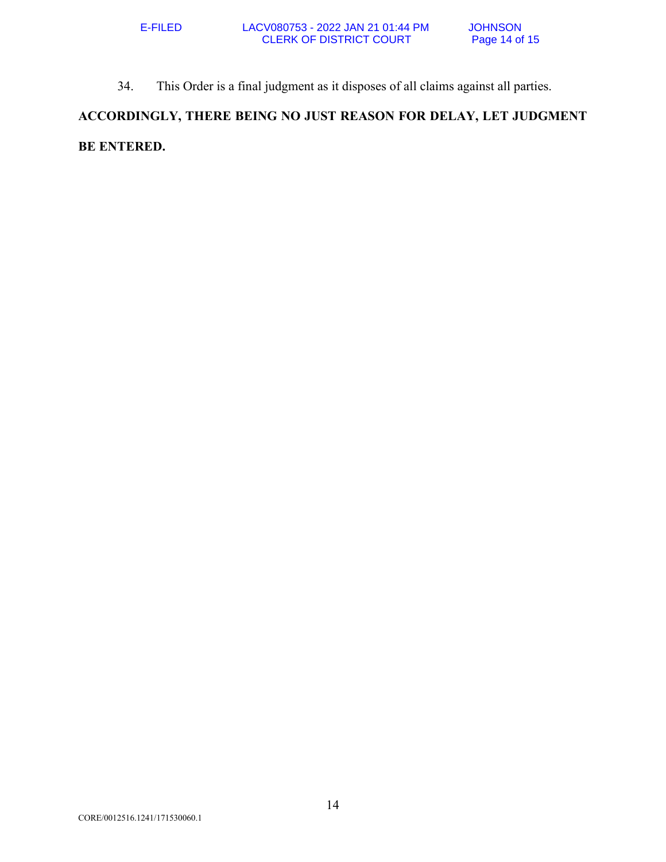34. This Order is a final judgment as it disposes of all claims against all parties.

**ACCORDINGLY, THERE BEING NO JUST REASON FOR DELAY, LET JUDGMENT BE ENTERED.**